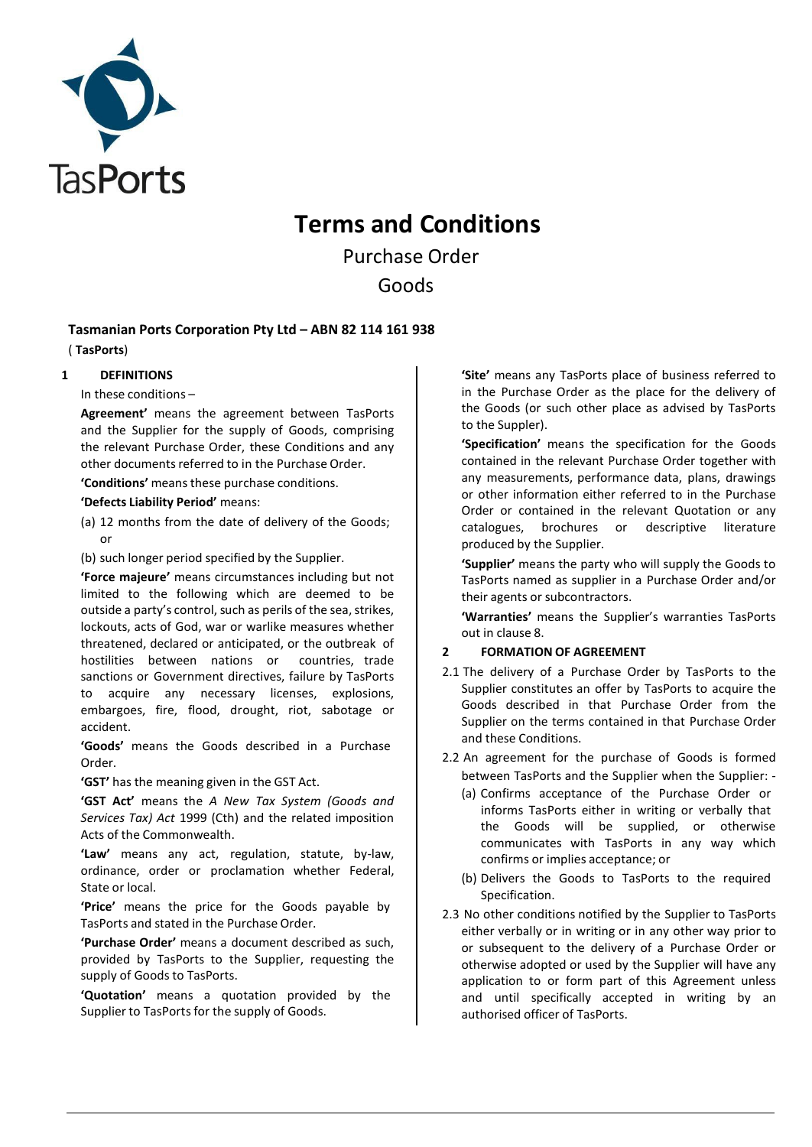

# **Terms and Conditions**

Purchase Order Goods

**Tasmanian Ports Corporation Pty Ltd – ABN 82 114 161 938**

( **TasPorts**)

**1 DEFINITIONS**

In these conditions –

**Agreement'** means the agreement between TasPorts and the Supplier for the supply of Goods, comprising the relevant Purchase Order, these Conditions and any other documents referred to in the Purchase Order.

**'Conditions'** meansthese purchase conditions.

**'Defects Liability Period'** means:

(a) 12 months from the date of delivery of the Goods; or

(b) such longer period specified by the Supplier.

**'Force majeure'** means circumstances including but not limited to the following which are deemed to be outside a party's control, such as perils of the sea, strikes, lockouts, acts of God, war or warlike measures whether threatened, declared or anticipated, or the outbreak of hostilities between nations or countries, trade sanctions or Government directives, failure by TasPorts to acquire any necessary licenses, explosions, embargoes, fire, flood, drought, riot, sabotage or accident.

**'Goods'** means the Goods described in a Purchase Order.

**'GST'** has the meaning given in the GST Act.

**'GST Act'** means the *A New Tax System (Goods and Services Tax) Act* 1999 (Cth) and the related imposition Acts of the Commonwealth.

**'Law'** means any act, regulation, statute, by-law, ordinance, order or proclamation whether Federal, State or local.

**'Price'** means the price for the Goods payable by TasPorts and stated in the Purchase Order.

**'Purchase Order'** means a document described as such, provided by TasPorts to the Supplier, requesting the supply of Goods to TasPorts.

**'Quotation'** means a quotation provided by the Supplier to TasPorts for the supply of Goods.

**'Site'** means any TasPorts place of business referred to in the Purchase Order as the place for the delivery of the Goods (or such other place as advised by TasPorts to the Suppler).

**'Specification'** means the specification for the Goods contained in the relevant Purchase Order together with any measurements, performance data, plans, drawings or other information either referred to in the Purchase Order or contained in the relevant Quotation or any catalogues, brochures or descriptive literature produced by the Supplier.

**'Supplier'** means the party who will supply the Goods to TasPorts named as supplier in a Purchase Order and/or their agents or subcontractors.

**'Warranties'** means the Supplier's warranties TasPorts out in clause 8.

## **2 FORMATION OF AGREEMENT**

- 2.1 The delivery of a Purchase Order by TasPorts to the Supplier constitutes an offer by TasPorts to acquire the Goods described in that Purchase Order from the Supplier on the terms contained in that Purchase Order and these Conditions.
- 2.2 An agreement for the purchase of Goods is formed between TasPorts and the Supplier when the Supplier: -
	- (a) Confirms acceptance of the Purchase Order or informs TasPorts either in writing or verbally that the Goods will be supplied, or otherwise communicates with TasPorts in any way which confirms or implies acceptance; or
	- (b) Delivers the Goods to TasPorts to the required Specification.
- 2.3 No other conditions notified by the Supplier to TasPorts either verbally or in writing or in any other way prior to or subsequent to the delivery of a Purchase Order or otherwise adopted or used by the Supplier will have any application to or form part of this Agreement unless and until specifically accepted in writing by an authorised officer of TasPorts.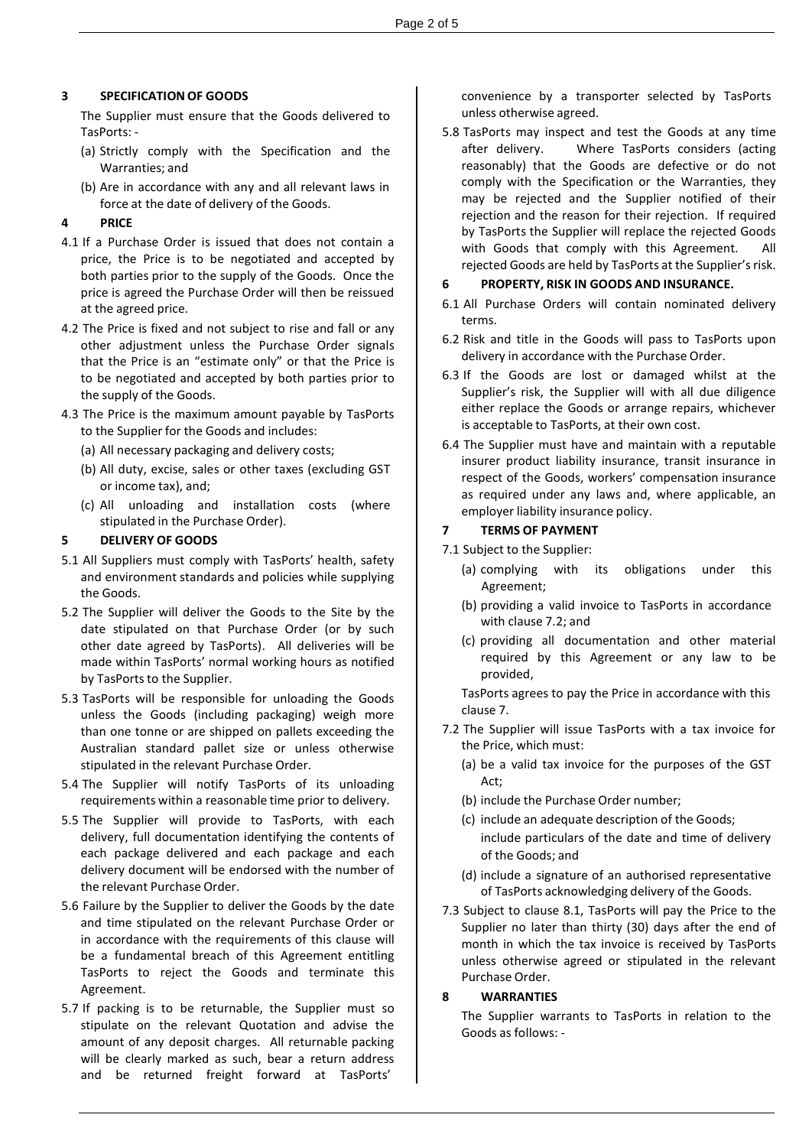## **3 SPECIFICATION OF GOODS**

The Supplier must ensure that the Goods delivered to TasPorts: -

- (a) Strictly comply with the Specification and the Warranties; and
- (b) Are in accordance with any and all relevant laws in force at the date of delivery of the Goods.

## **4 PRICE**

- 4.1 If a Purchase Order is issued that does not contain a price, the Price is to be negotiated and accepted by both parties prior to the supply of the Goods. Once the price is agreed the Purchase Order will then be reissued at the agreed price.
- 4.2 The Price is fixed and not subject to rise and fall or any other adjustment unless the Purchase Order signals that the Price is an "estimate only" or that the Price is to be negotiated and accepted by both parties prior to the supply of the Goods.
- 4.3 The Price is the maximum amount payable by TasPorts to the Supplier for the Goods and includes:
	- (a) All necessary packaging and delivery costs;
	- (b) All duty, excise, sales or other taxes (excluding GST or income tax), and;
	- (c) All unloading and installation costs (where stipulated in the Purchase Order).

#### **5 DELIVERY OF GOODS**

- 5.1 All Suppliers must comply with TasPorts' health, safety and environment standards and policies while supplying the Goods.
- 5.2 The Supplier will deliver the Goods to the Site by the date stipulated on that Purchase Order (or by such other date agreed by TasPorts). All deliveries will be made within TasPorts' normal working hours as notified by TasPorts to the Supplier.
- 5.3 TasPorts will be responsible for unloading the Goods unless the Goods (including packaging) weigh more than one tonne or are shipped on pallets exceeding the Australian standard pallet size or unless otherwise stipulated in the relevant Purchase Order.
- 5.4 The Supplier will notify TasPorts of its unloading requirements within a reasonable time prior to delivery.
- 5.5 The Supplier will provide to TasPorts, with each delivery, full documentation identifying the contents of each package delivered and each package and each delivery document will be endorsed with the number of the relevant Purchase Order.
- 5.6 Failure by the Supplier to deliver the Goods by the date and time stipulated on the relevant Purchase Order or in accordance with the requirements of this clause will be a fundamental breach of this Agreement entitling TasPorts to reject the Goods and terminate this Agreement.
- 5.7 If packing is to be returnable, the Supplier must so stipulate on the relevant Quotation and advise the amount of any deposit charges. All returnable packing will be clearly marked as such, bear a return address and be returned freight forward at TasPorts'

convenience by a transporter selected by TasPorts unless otherwise agreed.

5.8 TasPorts may inspect and test the Goods at any time after delivery. Where TasPorts considers (acting reasonably) that the Goods are defective or do not comply with the Specification or the Warranties, they may be rejected and the Supplier notified of their rejection and the reason for their rejection. If required by TasPorts the Supplier will replace the rejected Goods with Goods that comply with this Agreement. All rejected Goods are held by TasPorts at the Supplier's risk.

#### **6 PROPERTY, RISK IN GOODS AND INSURANCE.**

- 6.1 All Purchase Orders will contain nominated delivery terms.
- 6.2 Risk and title in the Goods will pass to TasPorts upon delivery in accordance with the Purchase Order.
- 6.3 If the Goods are lost or damaged whilst at the Supplier's risk, the Supplier will with all due diligence either replace the Goods or arrange repairs, whichever is acceptable to TasPorts, at their own cost.
- 6.4 The Supplier must have and maintain with a reputable insurer product liability insurance, transit insurance in respect of the Goods, workers' compensation insurance as required under any laws and, where applicable, an employer liability insurance policy.

#### **7 TERMS OF PAYMENT**

7.1 Subject to the Supplier:

- (a) complying with its obligations under this Agreement;
- (b) providing a valid invoice to TasPorts in accordance with clause 7.2; and
- (c) providing all documentation and other material required by this Agreement or any law to be provided,

TasPorts agrees to pay the Price in accordance with this clause 7.

- 7.2 The Supplier will issue TasPorts with a tax invoice for the Price, which must:
	- (a) be a valid tax invoice for the purposes of the GST Act;
	- (b) include the Purchase Order number;
	- (c) include an adequate description of the Goods; include particulars of the date and time of delivery of the Goods; and
	- (d) include a signature of an authorised representative of TasPorts acknowledging delivery of the Goods.
- 7.3 Subject to clause 8.1, TasPorts will pay the Price to the Supplier no later than thirty (30) days after the end of month in which the tax invoice is received by TasPorts unless otherwise agreed or stipulated in the relevant Purchase Order.

#### **8 WARRANTIES**

The Supplier warrants to TasPorts in relation to the Goods as follows: -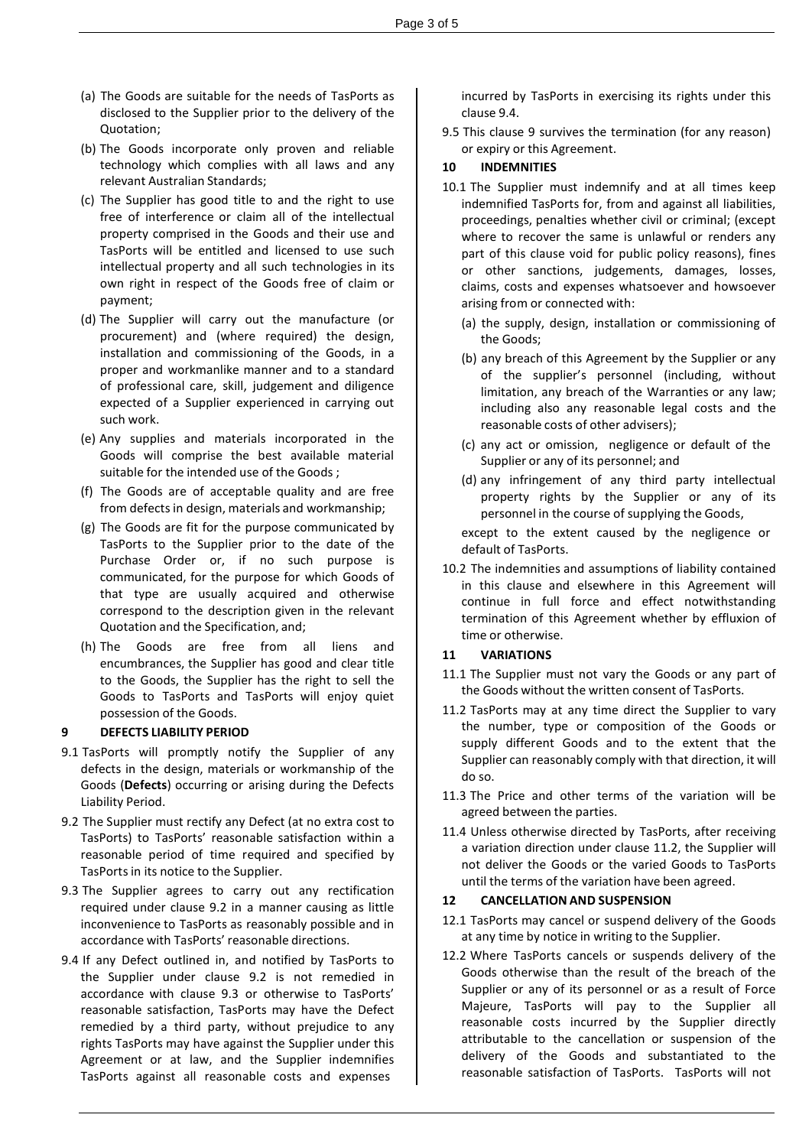- (a) The Goods are suitable for the needs of TasPorts as disclosed to the Supplier prior to the delivery of the Quotation;
- (b) The Goods incorporate only proven and reliable technology which complies with all laws and any relevant Australian Standards;
- (c) The Supplier has good title to and the right to use free of interference or claim all of the intellectual property comprised in the Goods and their use and TasPorts will be entitled and licensed to use such intellectual property and all such technologies in its own right in respect of the Goods free of claim or payment;
- (d) The Supplier will carry out the manufacture (or procurement) and (where required) the design, installation and commissioning of the Goods, in a proper and workmanlike manner and to a standard of professional care, skill, judgement and diligence expected of a Supplier experienced in carrying out such work.
- (e) Any supplies and materials incorporated in the Goods will comprise the best available material suitable for the intended use of the Goods ;
- (f) The Goods are of acceptable quality and are free from defects in design, materials and workmanship;
- (g) The Goods are fit for the purpose communicated by TasPorts to the Supplier prior to the date of the Purchase Order or, if no such purpose is communicated, for the purpose for which Goods of that type are usually acquired and otherwise correspond to the description given in the relevant Quotation and the Specification, and;
- (h) The Goods are free from all liens and encumbrances, the Supplier has good and clear title to the Goods, the Supplier has the right to sell the Goods to TasPorts and TasPorts will enjoy quiet possession of the Goods.

#### **9 DEFECTS LIABILITY PERIOD**

- 9.1 TasPorts will promptly notify the Supplier of any defects in the design, materials or workmanship of the Goods (**Defects**) occurring or arising during the Defects Liability Period.
- 9.2 The Supplier must rectify any Defect (at no extra cost to TasPorts) to TasPorts' reasonable satisfaction within a reasonable period of time required and specified by TasPorts in its notice to the Supplier.
- 9.3 The Supplier agrees to carry out any rectification required under clause 9.2 in a manner causing as little inconvenience to TasPorts as reasonably possible and in accordance with TasPorts' reasonable directions.
- 9.4 If any Defect outlined in, and notified by TasPorts to the Supplier under clause 9.2 is not remedied in accordance with clause 9.3 or otherwise to TasPorts' reasonable satisfaction, TasPorts may have the Defect remedied by a third party, without prejudice to any rights TasPorts may have against the Supplier under this Agreement or at law, and the Supplier indemnifies TasPorts against all reasonable costs and expenses

incurred by TasPorts in exercising its rights under this clause 9.4.

9.5 This clause 9 survives the termination (for any reason) or expiry or this Agreement.

#### **10 INDEMNITIES**

- 10.1 The Supplier must indemnify and at all times keep indemnified TasPorts for, from and against all liabilities, proceedings, penalties whether civil or criminal; (except where to recover the same is unlawful or renders any part of this clause void for public policy reasons), fines or other sanctions, judgements, damages, losses, claims, costs and expenses whatsoever and howsoever arising from or connected with:
	- (a) the supply, design, installation or commissioning of the Goods;
	- (b) any breach of this Agreement by the Supplier or any of the supplier's personnel (including, without limitation, any breach of the Warranties or any law; including also any reasonable legal costs and the reasonable costs of other advisers);
	- (c) any act or omission, negligence or default of the Supplier or any of its personnel; and
	- (d) any infringement of any third party intellectual property rights by the Supplier or any of its personnel in the course of supplying the Goods,

except to the extent caused by the negligence or default of TasPorts.

10.2 The indemnities and assumptions of liability contained in this clause and elsewhere in this Agreement will continue in full force and effect notwithstanding termination of this Agreement whether by effluxion of time or otherwise.

## **11 VARIATIONS**

- 11.1 The Supplier must not vary the Goods or any part of the Goods without the written consent of TasPorts.
- 11.2 TasPorts may at any time direct the Supplier to vary the number, type or composition of the Goods or supply different Goods and to the extent that the Supplier can reasonably comply with that direction, it will do so.
- 11.3 The Price and other terms of the variation will be agreed between the parties.
- 11.4 Unless otherwise directed by TasPorts, after receiving a variation direction under clause 11.2, the Supplier will not deliver the Goods or the varied Goods to TasPorts until the terms of the variation have been agreed.

#### **12 CANCELLATION AND SUSPENSION**

- 12.1 TasPorts may cancel or suspend delivery of the Goods at any time by notice in writing to the Supplier.
- 12.2 Where TasPorts cancels or suspends delivery of the Goods otherwise than the result of the breach of the Supplier or any of its personnel or as a result of Force Majeure, TasPorts will pay to the Supplier all reasonable costs incurred by the Supplier directly attributable to the cancellation or suspension of the delivery of the Goods and substantiated to the reasonable satisfaction of TasPorts. TasPorts will not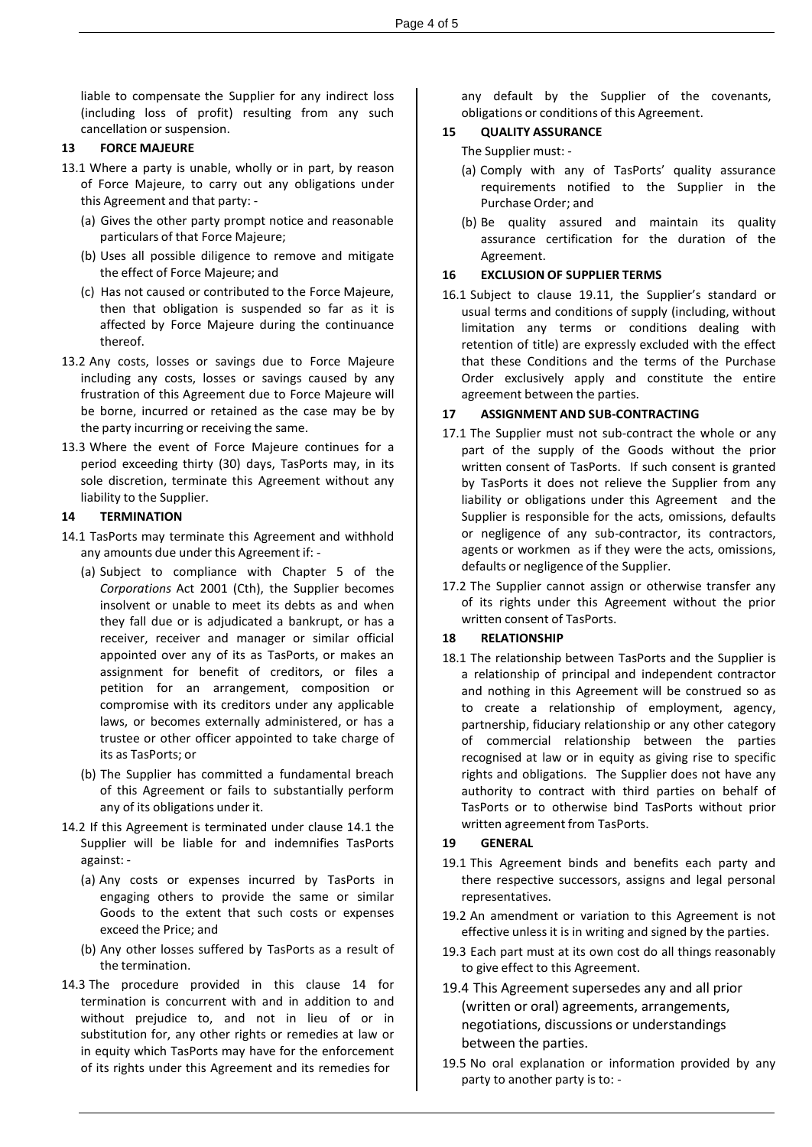liable to compensate the Supplier for any indirect loss (including loss of profit) resulting from any such cancellation or suspension.

#### **13 FORCE MAJEURE**

- 13.1 Where a party is unable, wholly or in part, by reason of Force Majeure, to carry out any obligations under this Agreement and that party: -
	- (a) Gives the other party prompt notice and reasonable particulars of that Force Majeure;
	- (b) Uses all possible diligence to remove and mitigate the effect of Force Majeure; and
	- (c) Has not caused or contributed to the Force Majeure, then that obligation is suspended so far as it is affected by Force Majeure during the continuance thereof.
- 13.2 Any costs, losses or savings due to Force Majeure including any costs, losses or savings caused by any frustration of this Agreement due to Force Majeure will be borne, incurred or retained as the case may be by the party incurring or receiving the same.
- 13.3 Where the event of Force Majeure continues for a period exceeding thirty (30) days, TasPorts may, in its sole discretion, terminate this Agreement without any liability to the Supplier.

#### **14 TERMINATION**

- 14.1 TasPorts may terminate this Agreement and withhold any amounts due under this Agreement if: -
	- (a) Subject to compliance with Chapter 5 of the *Corporations* Act 2001 (Cth), the Supplier becomes insolvent or unable to meet its debts as and when they fall due or is adjudicated a bankrupt, or has a receiver, receiver and manager or similar official appointed over any of its as TasPorts, or makes an assignment for benefit of creditors, or files a petition for an arrangement, composition or compromise with its creditors under any applicable laws, or becomes externally administered, or has a trustee or other officer appointed to take charge of its as TasPorts; or
	- (b) The Supplier has committed a fundamental breach of this Agreement or fails to substantially perform any of its obligations under it.
- 14.2 If this Agreement is terminated under clause 14.1 the Supplier will be liable for and indemnifies TasPorts against: -
	- (a) Any costs or expenses incurred by TasPorts in engaging others to provide the same or similar Goods to the extent that such costs or expenses exceed the Price; and
	- (b) Any other losses suffered by TasPorts as a result of the termination.
- 14.3 The procedure provided in this clause 14 for termination is concurrent with and in addition to and without prejudice to, and not in lieu of or in substitution for, any other rights or remedies at law or in equity which TasPorts may have for the enforcement of its rights under this Agreement and its remedies for

any default by the Supplier of the covenants, obligations or conditions of this Agreement.

## **15 QUALITY ASSURANCE**

The Supplier must: -

- (a) Comply with any of TasPorts' quality assurance requirements notified to the Supplier in the Purchase Order; and
- (b) Be quality assured and maintain its quality assurance certification for the duration of the Agreement.

## **16 EXCLUSION OF SUPPLIER TERMS**

16.1 Subject to clause 19.11, the Supplier's standard or usual terms and conditions of supply (including, without limitation any terms or conditions dealing with retention of title) are expressly excluded with the effect that these Conditions and the terms of the Purchase Order exclusively apply and constitute the entire agreement between the parties.

#### **17 ASSIGNMENT AND SUB-CONTRACTING**

- 17.1 The Supplier must not sub-contract the whole or any part of the supply of the Goods without the prior written consent of TasPorts. If such consent is granted by TasPorts it does not relieve the Supplier from any liability or obligations under this Agreement and the Supplier is responsible for the acts, omissions, defaults or negligence of any sub-contractor, its contractors, agents or workmen as if they were the acts, omissions, defaults or negligence of the Supplier.
- 17.2 The Supplier cannot assign or otherwise transfer any of its rights under this Agreement without the prior written consent of TasPorts.

## **18 RELATIONSHIP**

18.1 The relationship between TasPorts and the Supplier is a relationship of principal and independent contractor and nothing in this Agreement will be construed so as to create a relationship of employment, agency, partnership, fiduciary relationship or any other category of commercial relationship between the parties recognised at law or in equity as giving rise to specific rights and obligations. The Supplier does not have any authority to contract with third parties on behalf of TasPorts or to otherwise bind TasPorts without prior written agreement from TasPorts.

## **19 GENERAL**

- 19.1 This Agreement binds and benefits each party and there respective successors, assigns and legal personal representatives.
- 19.2 An amendment or variation to this Agreement is not effective unless it is in writing and signed by the parties.
- 19.3 Each part must at its own cost do all things reasonably to give effect to this Agreement.
- 19.4 This Agreement supersedes any and all prior (written or oral) agreements, arrangements, negotiations, discussions or understandings between the parties.
- 19.5 No oral explanation or information provided by any party to another party is to: -